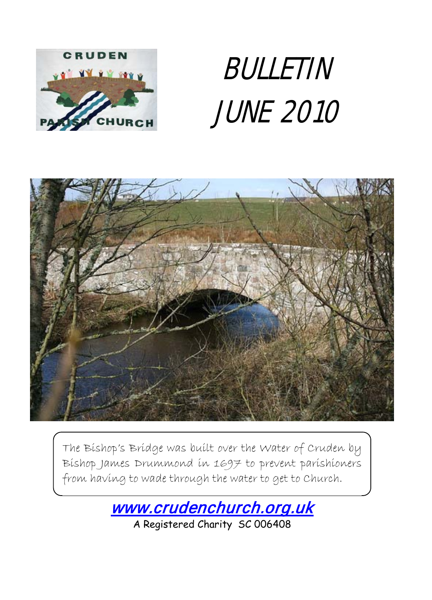

# BULLETIN JUNE 2010



The Bishop's Bridge was built over the Water of Cruden by Bishop James Drummond in 1697 to prevent parishioners from having to wade through the water to get to Church.

[www.crudenchurch.org.uk](http://www.crudenchurch.org.uk/) 

A Registered Charity SC 006408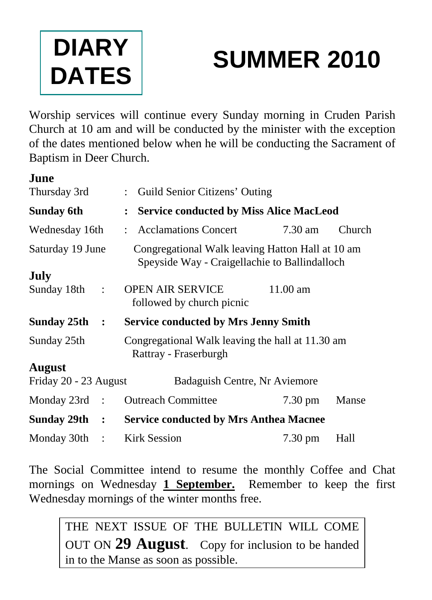

# **SUMMER 2010**

Worship services will continue every Sunday morning in Cruden Parish Church at 10 am and will be conducted by the minister with the exception of the dates mentioned below when he will be conducting the Sacrament of Baptism in Deer Church.

| June                  |                      |                                                                                                   |                   |        |
|-----------------------|----------------------|---------------------------------------------------------------------------------------------------|-------------------|--------|
| Thursday 3rd          |                      | : Guild Senior Citizens' Outing                                                                   |                   |        |
| Sunday 6th            |                      | <b>Service conducted by Miss Alice MacLeod</b>                                                    |                   |        |
| Wednesday 16th        |                      | : Acclamations Concert                                                                            | $7.30 \text{ am}$ | Church |
| Saturday 19 June      |                      | Congregational Walk leaving Hatton Hall at 10 am<br>Speyside Way - Craigellachie to Ballindalloch |                   |        |
| July                  |                      |                                                                                                   |                   |        |
| Sunday 18th           | $\cdot$              | <b>OPEN AIR SERVICE</b><br>followed by church picnic                                              | $11.00$ am        |        |
| Sunday 25th           | $\ddot{\phantom{1}}$ | <b>Service conducted by Mrs Jenny Smith</b>                                                       |                   |        |
| Sunday 25th           |                      | Congregational Walk leaving the hall at 11.30 am<br>Rattray - Fraserburgh                         |                   |        |
| August                |                      |                                                                                                   |                   |        |
| Friday 20 - 23 August |                      | Badaguish Centre, Nr Aviemore                                                                     |                   |        |
| Monday $23rd$ :       |                      | <b>Outreach Committee</b>                                                                         | $7.30 \text{ pm}$ | Manse  |
| Sunday $29th$ :       |                      | <b>Service conducted by Mrs Anthea Macnee</b>                                                     |                   |        |
| Monday 30th :         |                      | <b>Kirk Session</b>                                                                               | 7.30 pm           | Hall   |

The Social Committee intend to resume the monthly Coffee and Chat mornings on Wednesday **1 September.** Remember to keep the first Wednesday mornings of the winter months free.

THE NEXT ISSUE OF THE BULLETIN WILL COME OUT ON **29 August**. Copy for inclusion to be handed in to the Manse as soon as possible.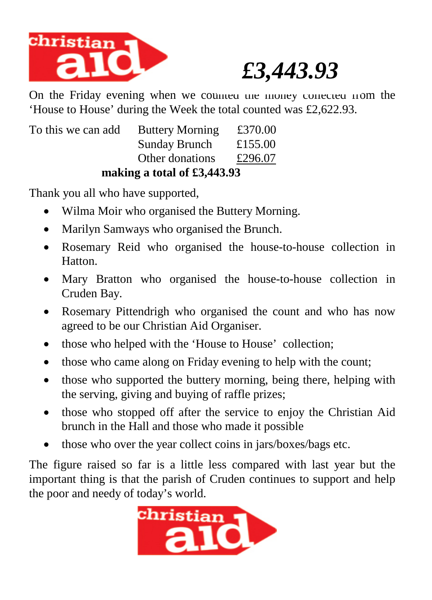

# *£3,443.93*

On the Friday evening when we counted the money corrected from the 'House to House' during the Week the total counted was £2,622.93.

|                    | making a total of $£3,443.93$ |         |
|--------------------|-------------------------------|---------|
|                    | Other donations               | £296.07 |
|                    | <b>Sunday Brunch</b>          | £155.00 |
| To this we can add | <b>Buttery Morning</b>        | £370.00 |

Thank you all who have supported,

- Wilma Moir who organised the Buttery Morning.
- Marilyn Samways who organised the Brunch.
- Rosemary Reid who organised the house-to-house collection in Hatton.
- Mary Bratton who organised the house-to-house collection in Cruden Bay.
- Rosemary Pittendrigh who organised the count and who has now agreed to be our Christian Aid Organiser.
- those who helped with the 'House to House' collection;
- those who came along on Friday evening to help with the count;
- those who supported the buttery morning, being there, helping with the serving, giving and buying of raffle prizes;
- those who stopped off after the service to enjoy the Christian Aid brunch in the Hall and those who made it possible
- those who over the year collect coins in jars/boxes/bags etc.

The figure raised so far is a little less compared with last year but the important thing is that the parish of Cruden continues to support and help the poor and needy of today's world.

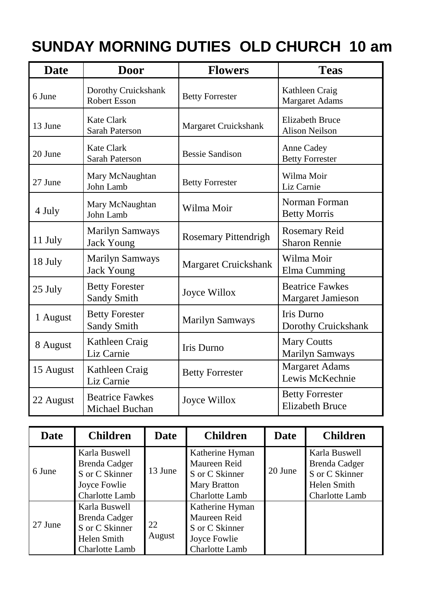## **SUNDAY MORNING DUTIES OLD CHURCH 10 am**

| <b>Date</b> | <b>Door</b>                                 | <b>Flowers</b>              | <b>Teas</b>                                      |  |
|-------------|---------------------------------------------|-----------------------------|--------------------------------------------------|--|
| 6 June      | Dorothy Cruickshank<br><b>Robert Esson</b>  | <b>Betty Forrester</b>      | Kathleen Craig<br>Margaret Adams                 |  |
| 13 June     | Kate Clark<br><b>Sarah Paterson</b>         | Margaret Cruickshank        | <b>Elizabeth Bruce</b><br><b>Alison Neilson</b>  |  |
| 20 June     | Kate Clark<br><b>Sarah Paterson</b>         | <b>Bessie Sandison</b>      | Anne Cadey<br><b>Betty Forrester</b>             |  |
| 27 June     | Mary McNaughtan<br>John Lamb                | <b>Betty Forrester</b>      | Wilma Moir<br>Liz Carnie                         |  |
| 4 July      | Mary McNaughtan<br>John Lamb                | Wilma Moir                  | Norman Forman<br><b>Betty Morris</b>             |  |
| 11 July     | <b>Marilyn Samways</b><br><b>Jack Young</b> | <b>Rosemary Pittendrigh</b> | Rosemary Reid<br><b>Sharon Rennie</b>            |  |
| 18 July     | <b>Marilyn Samways</b><br><b>Jack Young</b> | Margaret Cruickshank        | Wilma Moir<br>Elma Cumming                       |  |
| 25 July     | <b>Betty Forester</b><br>Sandy Smith        | Joyce Willox                | <b>Beatrice Fawkes</b><br>Margaret Jamieson      |  |
| 1 August    | <b>Betty Forester</b><br>Sandy Smith        | <b>Marilyn Samways</b>      | <b>Iris Durno</b><br>Dorothy Cruickshank         |  |
| 8 August    | Kathleen Craig<br>Liz Carnie                | <b>Iris Durno</b>           | <b>Mary Coutts</b><br><b>Marilyn Samways</b>     |  |
| 15 August   | Kathleen Craig<br>Liz Carnie                | <b>Betty Forrester</b>      | <b>Margaret Adams</b><br>Lewis McKechnie         |  |
| 22 August   | <b>Beatrice Fawkes</b><br>Michael Buchan    | Joyce Willox                | <b>Betty Forrester</b><br><b>Elizabeth Bruce</b> |  |

| <b>Date</b> | <b>Children</b>                                                                    | Date         | <b>Children</b>                                                                     | <b>Date</b> | <b>Children</b>                                                                   |
|-------------|------------------------------------------------------------------------------------|--------------|-------------------------------------------------------------------------------------|-------------|-----------------------------------------------------------------------------------|
| 6 June      | Karla Buswell<br>Brenda Cadger<br>S or C Skinner<br>Joyce Fowlie<br>Charlotte Lamb | 13 June      | Katherine Hyman<br>Maureen Reid<br>S or C Skinner<br>Mary Bratton<br>Charlotte Lamb | 20 June     | Karla Buswell<br>Brenda Cadger<br>S or C Skinner<br>Helen Smith<br>Charlotte Lamb |
| 27 June     | Karla Buswell<br>Brenda Cadger<br>S or C Skinner<br>Helen Smith<br>Charlotte Lamb  | 22<br>August | Katherine Hyman<br>Maureen Reid<br>S or C Skinner<br>Joyce Fowlie<br>Charlotte Lamb |             |                                                                                   |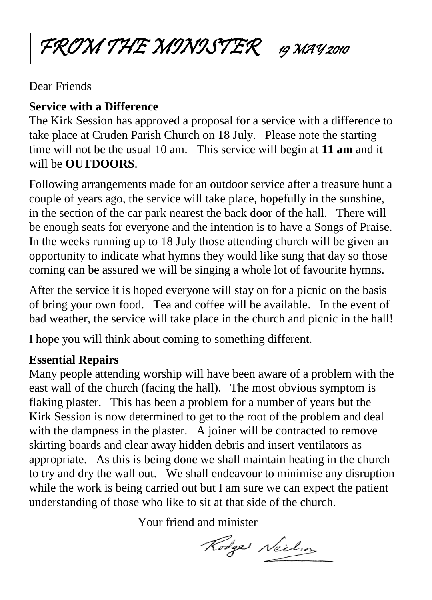## FROM THE MINISTER 19 MAY 2010

#### Dear Friends

### **Service with a Difference**

The Kirk Session has approved a proposal for a service with a difference to take place at Cruden Parish Church on 18 July. Please note the starting time will not be the usual 10 am. This service will begin at **11 am** and it will be **OUTDOORS**.

Following arrangements made for an outdoor service after a treasure hunt a couple of years ago, the service will take place, hopefully in the sunshine, in the section of the car park nearest the back door of the hall. There will be enough seats for everyone and the intention is to have a Songs of Praise. In the weeks running up to 18 July those attending church will be given an opportunity to indicate what hymns they would like sung that day so those coming can be assured we will be singing a whole lot of favourite hymns.

After the service it is hoped everyone will stay on for a picnic on the basis of bring your own food. Tea and coffee will be available. In the event of bad weather, the service will take place in the church and picnic in the hall!

I hope you will think about coming to something different.

### **Essential Repairs**

Many people attending worship will have been aware of a problem with the east wall of the church (facing the hall). The most obvious symptom is flaking plaster. This has been a problem for a number of years but the Kirk Session is now determined to get to the root of the problem and deal with the dampness in the plaster. A joiner will be contracted to remove skirting boards and clear away hidden debris and insert ventilators as appropriate. As this is being done we shall maintain heating in the church to try and dry the wall out. We shall endeavour to minimise any disruption while the work is being carried out but I am sure we can expect the patient understanding of those who like to sit at that side of the church.

Your friend and minister

Rodge Neilson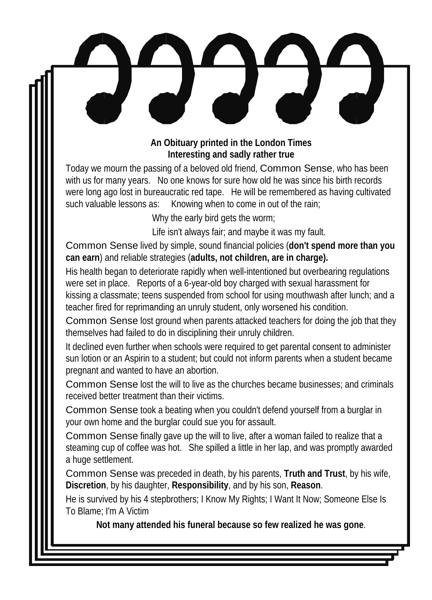#### **An Obituary printed in the London Times Interesting and sadly rather true**

Today we mourn the passing of a beloved old friend, Common Sense, who has been with us for many years. No one knows for sure how old he was since his birth records were long ago lost in bureaucratic red tape. He will be remembered as having cultivated such valuable lessons as: Knowing when to come in out of the rain;

Why the early bird gets the worm;

Life isn't always fair; and maybe it was my fault.

Common Sense lived by simple, sound financial policies (**don't spend more than you can earn**) and reliable strategies (**adults, not children, are in charge).**

His health began to deteriorate rapidly when well-intentioned but overbearing regulations were set in place. Reports of a 6-year-old boy charged with sexual harassment for kissing a classmate; teens suspended from school for using mouthwash after lunch; and a teacher fired for reprimanding an unruly student, only worsened his condition.

Common Sense lost ground when parents attacked teachers for doing the job that they themselves had failed to do in disciplining their unruly children.

It declined even further when schools were required to get parental consent to administer sun lotion or an Aspirin to a student; but could not inform parents when a student became pregnant and wanted to have an abortion.

Common Sense lost the will to live as the churches became businesses; and criminals received better treatment than their victims.

Common Sense took a beating when you couldn't defend yourself from a burglar in your own home and the burglar could sue you for assault.

Common Sense finally gave up the will to live, after a woman failed to realize that a steaming cup of coffee was hot. She spilled a little in her lap, and was promptly awarded a huge settlement.

Common Sense was preceded in death, by his parents, **Truth and Trust**, by his wife, **Discretion**, by his daughter, **Responsibility**, and by his son, **Reason**.

He is survived by his 4 stepbrothers; I Know My Rights; I Want It Now; Someone Else Is To Blame; I'm A Victim

**Not many attended his funeral because so few realized he was gone**.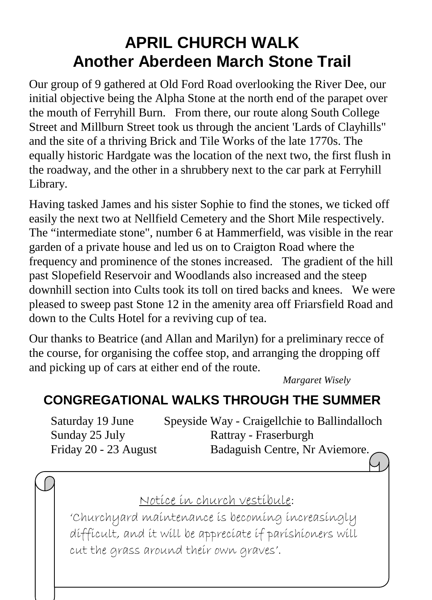## **APRIL CHURCH WALK Another Aberdeen March Stone Trail**

Our group of 9 gathered at Old Ford Road overlooking the River Dee, our initial objective being the Alpha Stone at the north end of the parapet over the mouth of Ferryhill Burn. From there, our route along South College Street and Millburn Street took us through the ancient 'Lards of Clayhills" and the site of a thriving Brick and Tile Works of the late 1770s. The equally historic Hardgate was the location of the next two, the first flush in the roadway, and the other in a shrubbery next to the car park at Ferryhill Library.

Having tasked James and his sister Sophie to find the stones, we ticked off easily the next two at Nellfield Cemetery and the Short Mile respectively. The "intermediate stone", number 6 at Hammerfield, was visible in the rear garden of a private house and led us on to Craigton Road where the frequency and prominence of the stones increased. The gradient of the hill past Slopefield Reservoir and Woodlands also increased and the steep downhill section into Cults took its toll on tired backs and knees. We were pleased to sweep past Stone 12 in the amenity area off Friarsfield Road and down to the Cults Hotel for a reviving cup of tea.

Our thanks to Beatrice (and Allan and Marilyn) for a preliminary recce of the course, for organising the coffee stop, and arranging the dropping off and picking up of cars at either end of the route.

*Margaret Wisely*

## **CONGREGATIONAL WALKS THROUGH THE SUMMER**

| Saturday 19 June      | Speyside Way - Craigellchie to Ballindalloch |
|-----------------------|----------------------------------------------|
| Sunday 25 July        | Rattray - Fraserburgh                        |
| Friday 20 - 23 August | Badaguish Centre, Nr Aviemore.               |

### Notice in church vestibule:

'Churchyard maintenance is becoming increasingly difficult, and it will be appreciate if parishioners will cut the grass around their own graves'.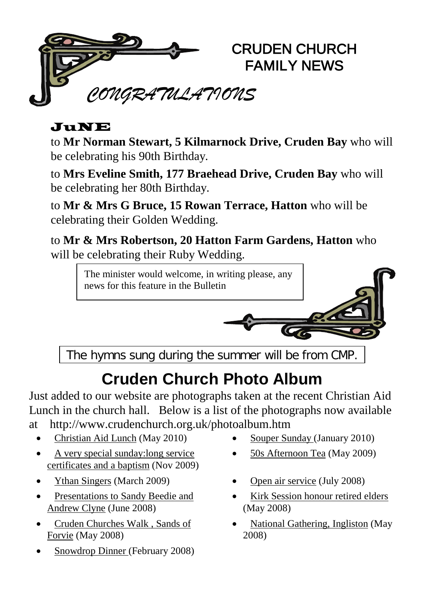

#### JuNE

to **Mr Norman Stewart, 5 Kilmarnock Drive, Cruden Bay** who will be celebrating his 90th Birthday.

to **Mrs Eveline Smith, 177 Braehead Drive, Cruden Bay** who will be celebrating her 80th Birthday.

to **Mr & Mrs G Bruce, 15 Rowan Terrace, Hatton** who will be celebrating their Golden Wedding.

to **Mr & Mrs Robertson, 20 Hatton Farm Gardens, Hatton** who will be celebrating their Ruby Wedding.

> The minister would welcome, in writing please, any news for this feature in the Bulletin

The hymns sung during the summer will be from CMP.

## **Cruden Church Photo Album**

Just added to our website are photographs taken at the recent Christian Aid Lunch in the church hall. Below is a list of the photographs now available at http://www.crudenchurch.org.uk/photoalbum.htm

- [Christian Aid Lunch](http://www.crudenchurch.org.uk/caidlunch2010.htm) (May 2010) [Souper Sunday \(](http://www.crudenchurch.org.uk/soupersunday100124.htm)January 2010)
- A very special sunday: long service [certificates and a baptism](http://www.crudenchurch.org.uk/longservice0911.html) (Nov 2009)
- [Ythan Singers](http://www.crudenchurch.org.uk/ythansingers_march09.htm) (March 2009) [Open air service](http://www.crudenchurch.org.uk/openair08.htm) (July 2008)
- Presentations to Sandy Beedie and [Andrew Clyne](http://www.crudenchurch.org.uk/presentations082629.htm) (June 2008)
- [Cruden Churches Walk , Sands of](http://www.crudenchurch.org.uk/walk0805forvie.htm)  [Forvie](http://www.crudenchurch.org.uk/walk0805forvie.htm) (May 2008)
- [Snowdrop Dinner \(](http://www.crudenchurch.org.uk/snowdrop08.htm)February 2008)
- 
- [50s Afternoon Tea](http://www.crudenchurch.org.uk/50stea_may09.html) (May 2009)
- 
- [Kirk Session honour retired elders](http://www.crudenchurch.org.uk/ksdinner08.htm) (May 2008)
- [National Gathering, Ingliston](http://www.crudenchurch.org.uk/cww080503.htm) (May 2008)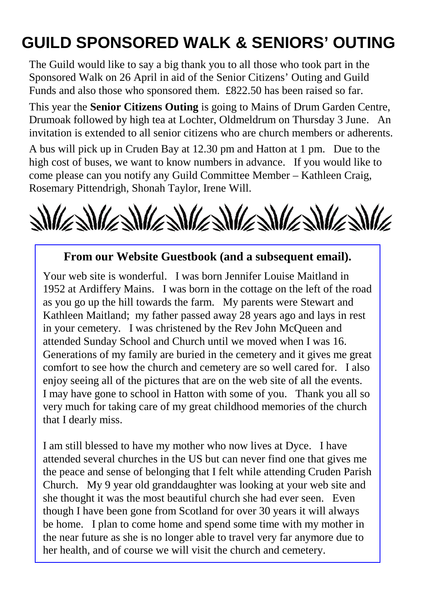## **GUILD SPONSORED WALK & SENIORS' OUTING**

The Guild would like to say a big thank you to all those who took part in the Sponsored Walk on 26 April in aid of the Senior Citizens' Outing and Guild Funds and also those who sponsored them. £822.50 has been raised so far.

This year the **Senior Citizens Outing** is going to Mains of Drum Garden Centre, Drumoak followed by high tea at Lochter, Oldmeldrum on Thursday 3 June. An invitation is extended to all senior citizens who are church members or adherents.

A bus will pick up in Cruden Bay at 12.30 pm and Hatton at 1 pm. Due to the high cost of buses, we want to know numbers in advance. If you would like to come please can you notify any Guild Committee Member – Kathleen Craig, Rosemary Pittendrigh, Shonah Taylor, Irene Will.



#### **From our Website Guestbook (and a subsequent email).**

Your web site is wonderful. I was born Jennifer Louise Maitland in 1952 at Ardiffery Mains. I was born in the cottage on the left of the road as you go up the hill towards the farm. My parents were Stewart and Kathleen Maitland; my father passed away 28 years ago and lays in rest in your cemetery. I was christened by the Rev John McQueen and attended Sunday School and Church until we moved when I was 16. Generations of my family are buried in the cemetery and it gives me great comfort to see how the church and cemetery are so well cared for. I also enjoy seeing all of the pictures that are on the web site of all the events. I may have gone to school in Hatton with some of you. Thank you all so very much for taking care of my great childhood memories of the church that I dearly miss.

I am still blessed to have my mother who now lives at Dyce. I have attended several churches in the US but can never find one that gives me the peace and sense of belonging that I felt while attending Cruden Parish Church. My 9 year old granddaughter was looking at your web site and she thought it was the most beautiful church she had ever seen. Even though I have been gone from Scotland for over 30 years it will always be home. I plan to come home and spend some time with my mother in the near future as she is no longer able to travel very far anymore due to her health, and of course we will visit the church and cemetery.

Ξ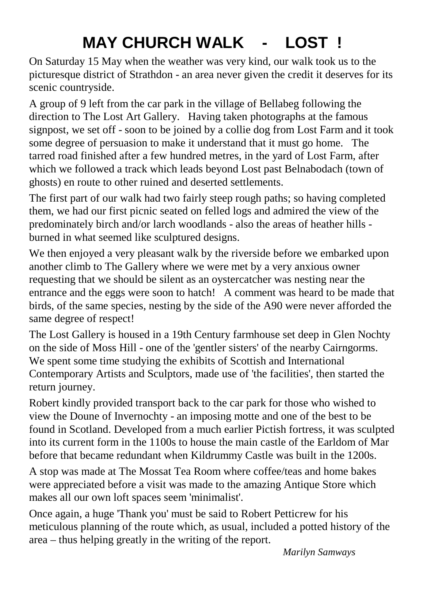## **MAY CHURCH WALK - LOST !**

On Saturday 15 May when the weather was very kind, our walk took us to the picturesque district of Strathdon - an area never given the credit it deserves for its scenic countryside.

A group of 9 left from the car park in the village of Bellabeg following the direction to The Lost Art Gallery. Having taken photographs at the famous signpost, we set off - soon to be joined by a collie dog from Lost Farm and it took some degree of persuasion to make it understand that it must go home. The tarred road finished after a few hundred metres, in the yard of Lost Farm, after which we followed a track which leads beyond Lost past Belnabodach (town of ghosts) en route to other ruined and deserted settlements.

The first part of our walk had two fairly steep rough paths; so having completed them, we had our first picnic seated on felled logs and admired the view of the predominately birch and/or larch woodlands - also the areas of heather hills burned in what seemed like sculptured designs.

We then enjoyed a very pleasant walk by the riverside before we embarked upon another climb to The Gallery where we were met by a very anxious owner requesting that we should be silent as an oystercatcher was nesting near the entrance and the eggs were soon to hatch! A comment was heard to be made that birds, of the same species, nesting by the side of the A90 were never afforded the same degree of respect!

The Lost Gallery is housed in a 19th Century farmhouse set deep in Glen Nochty on the side of Moss Hill - one of the 'gentler sisters' of the nearby Cairngorms. We spent some time studying the exhibits of Scottish and International Contemporary Artists and Sculptors, made use of 'the facilities', then started the return journey.

Robert kindly provided transport back to the car park for those who wished to view the Doune of Invernochty - an imposing motte and one of the best to be found in Scotland. Developed from a much earlier Pictish fortress, it was sculpted into its current form in the 1100s to house the main castle of the Earldom of Mar before that became redundant when Kildrummy Castle was built in the 1200s.

A stop was made at The Mossat Tea Room where coffee/teas and home bakes were appreciated before a visit was made to the amazing Antique Store which makes all our own loft spaces seem 'minimalist'.

Once again, a huge 'Thank you' must be said to Robert Petticrew for his meticulous planning of the route which, as usual, included a potted history of the area – thus helping greatly in the writing of the report.

*Marilyn Samways*